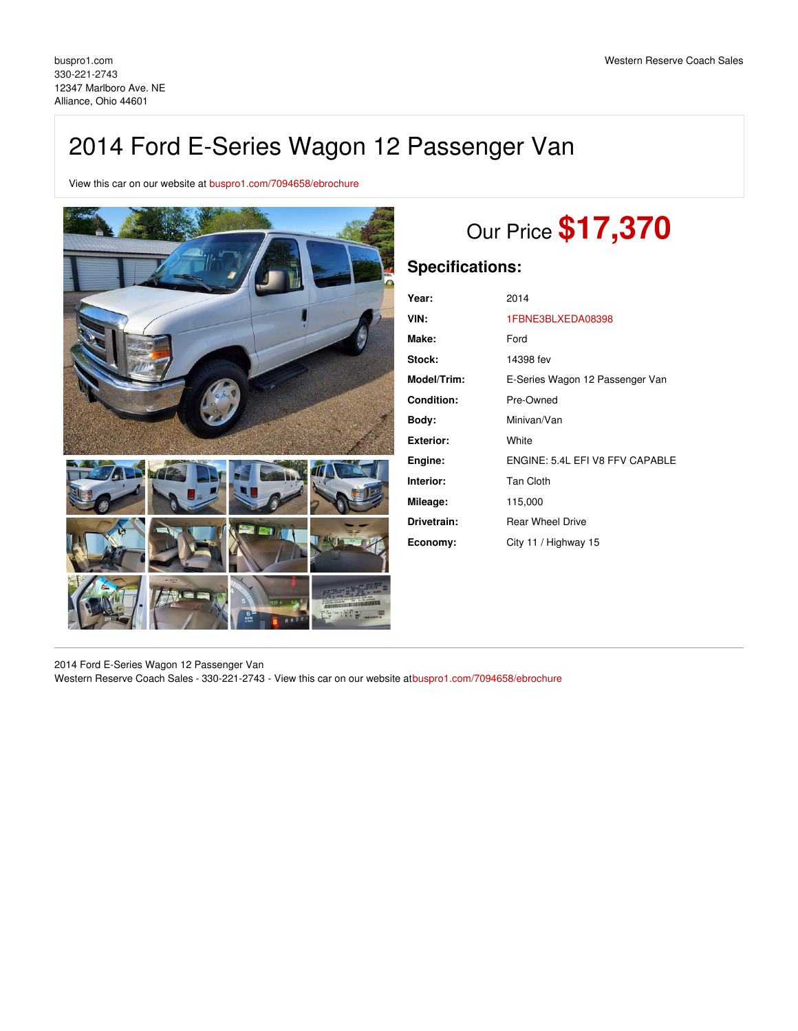## 2014 Ford E-Series Wagon 12 Passenger Van

View this car on our website at [buspro1.com/7094658/ebrochure](https://buspro1.com/vehicle/7094658/2014-ford-e-series-wagon-12-passenger-van-alliance-ohio-44601/7094658/ebrochure)



# Our Price **\$17,370**

## **Specifications:**

| Year:             | 2014                            |
|-------------------|---------------------------------|
| VIN:              | 1FBNE3BLXEDA08398               |
| Make:             | Ford                            |
| Stock:            | 14398 fev                       |
| Model/Trim:       | E-Series Wagon 12 Passenger Van |
| <b>Condition:</b> | Pre-Owned                       |
| Body:             | Minivan/Van                     |
| <b>Exterior:</b>  | White                           |
| Engine:           | ENGINE: 5.4L EFI V8 FFV CAPABLE |
| Interior:         | <b>Tan Cloth</b>                |
| Mileage:          | 115,000                         |
| Drivetrain:       | <b>Rear Wheel Drive</b>         |
| Economy:          | City 11 / Highway 15            |

2014 Ford E-Series Wagon 12 Passenger Van

Western Reserve Coach Sales - 330-221-2743 - View this car on our website a[tbuspro1.com/7094658/ebrochure](https://buspro1.com/vehicle/7094658/2014-ford-e-series-wagon-12-passenger-van-alliance-ohio-44601/7094658/ebrochure)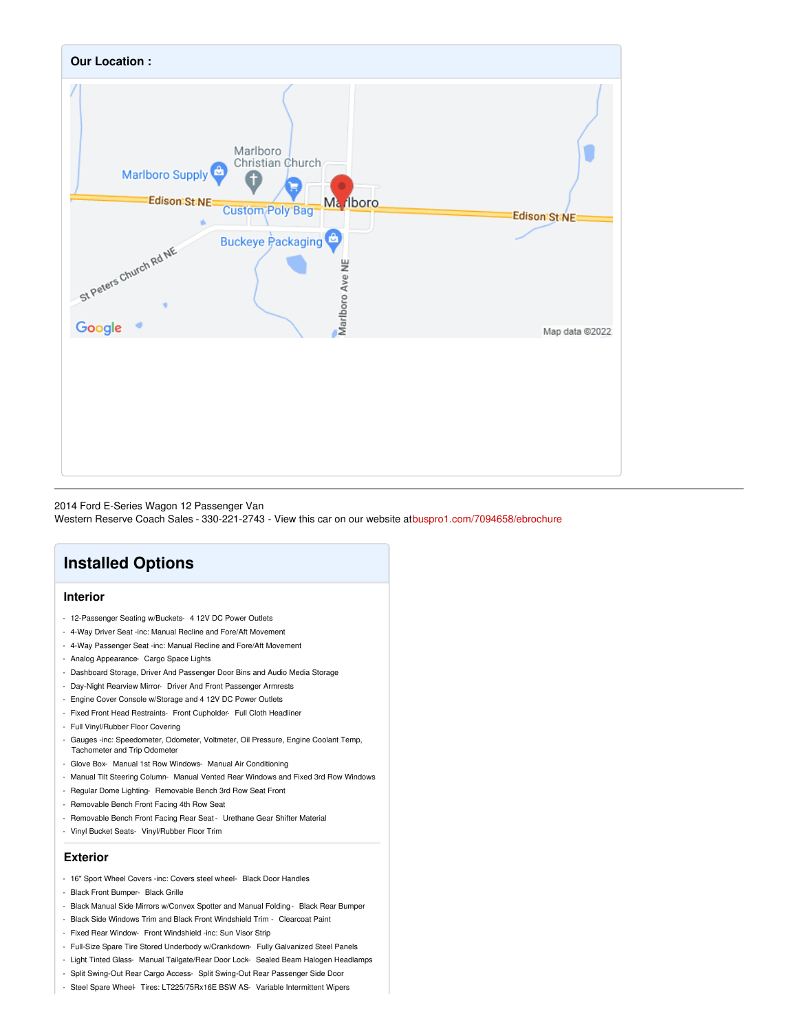

#### 2014 Ford E-Series Wagon 12 Passenger Van

Western Reserve Coach Sales - 330-221-2743 - View this car on our website a[tbuspro1.com/7094658/ebrochure](https://buspro1.com/vehicle/7094658/2014-ford-e-series-wagon-12-passenger-van-alliance-ohio-44601/7094658/ebrochure)

## **Installed Options**

#### **Interior**

- 12-Passenger Seating w/Buckets- 4 12V DC Power Outlets
- 4-Way Driver Seat -inc: Manual Recline and Fore/Aft Movement
- 4-Way Passenger Seat -inc: Manual Recline and Fore/Aft Movement
- Analog Appearance- Cargo Space Lights
- Dashboard Storage, Driver And Passenger Door Bins and Audio Media Storage
- Day-Night Rearview Mirror- Driver And Front Passenger Armrests
- Engine Cover Console w/Storage and 4 12V DC Power Outlets
- Fixed Front Head Restraints- Front Cupholder- Full Cloth Headliner
- Full Vinyl/Rubber Floor Covering
- Gauges -inc: Speedometer, Odometer, Voltmeter, Oil Pressure, Engine Coolant Temp, Tachometer and Trip Odometer
- Glove Box- Manual 1st Row Windows- Manual Air Conditioning
- Manual Tilt Steering Column- Manual Vented Rear Windows and Fixed 3rd Row Windows
- Regular Dome Lighting- Removable Bench 3rd Row Seat Front
- Removable Bench Front Facing 4th Row Seat
- Removable Bench Front Facing Rear Seat Urethane Gear Shifter Material
- Vinyl Bucket Seats- Vinyl/Rubber Floor Trim

#### **Exterior**

- 16" Sport Wheel Covers -inc: Covers steel wheel- Black Door Handles
- Black Front Bumper- Black Grille
- Black Manual Side Mirrors w/Convex Spotter and Manual Folding Black Rear Bumper
- Black Side Windows Trim and Black Front Windshield Trim Clearcoat Paint
- Fixed Rear Window- Front Windshield -inc: Sun Visor Strip
- Full-Size Spare Tire Stored Underbody w/Crankdown- Fully Galvanized Steel Panels
- Light Tinted Glass- Manual Tailgate/Rear Door Lock- Sealed Beam Halogen Headlamps
- Split Swing-Out Rear Cargo Access- Split Swing-Out Rear Passenger Side Door
- Steel Spare Wheel- Tires: LT225/75Rx16E BSW AS- Variable Intermittent Wipers